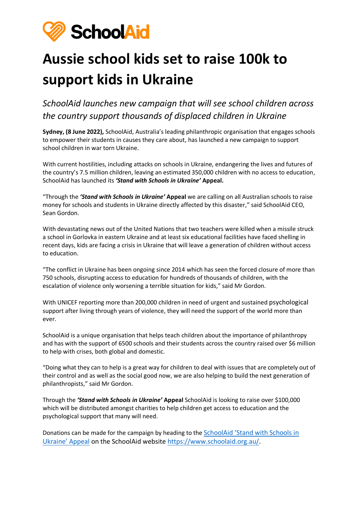

## **Aussie school kids set to raise 100k to support kids in Ukraine**

*SchoolAid launches new campaign that will see school children across the country support thousands of displaced children in Ukraine*

**Sydney, (8 June 2022),** SchoolAid, Australia's leading philanthropic organisation that engages schools to empower their students in causes they care about, has launched a new campaign to support school children in war torn Ukraine.

With current hostilities, including attacks on schools in Ukraine, endangering the lives and futures of the country's 7.5 million children, leaving an estimated 350,000 children with no access to education, SchoolAid has launched its *'Stand with Schools in Ukraine'* **Appeal.**

"Through the *'Stand with Schools in Ukraine'* **Appeal** we are calling on all Australian schools to raise money for schools and students in Ukraine directly affected by this disaster," said SchoolAid CEO, Sean Gordon.

With devastating news out of the United Nations that two teachers were killed when a missile struck a school in Gorlovka in eastern Ukraine and at least six educational facilities have faced shelling in recent days, kids are facing a crisis in Ukraine that will leave a generation of children without access to education.

"The conflict in Ukraine has been ongoing since 2014 which has seen the forced closure of more than 750 schools, disrupting access to education for hundreds of thousands of children, with the escalation of violence only worsening a terrible situation for kids," said Mr Gordon.

With UNICEF reporting more than 200,000 children in need of urgent and sustained psychological support after living through years of violence, they will need the support of the world more than ever.

SchoolAid is a unique organisation that helps teach children about the importance of philanthropy and has with the support of 6500 schools and their students across the country raised over \$6 million to help with crises, both global and domestic.

"Doing what they can to help is a great way for children to deal with issues that are completely out of their control and as well as the social good now, we are also helping to build the next generation of philanthropists," said Mr Gordon.

Through the *'Stand with Schools in Ukraine'* **Appeal** SchoolAid is looking to raise over \$100,000 which will be distributed amongst charities to help children get access to education and the psychological support that many will need.

Donations can be made for the campaign by heading to the [SchoolAid 'Stand with Schools in](https://www.schoolaid.org.au/schoolaidnationalappeal)  [Ukraine' Appeal](https://www.schoolaid.org.au/schoolaidnationalappeal) on the SchoolAid website [https://www.schoolaid.org.au/.](https://www.schoolaid.org.au/)